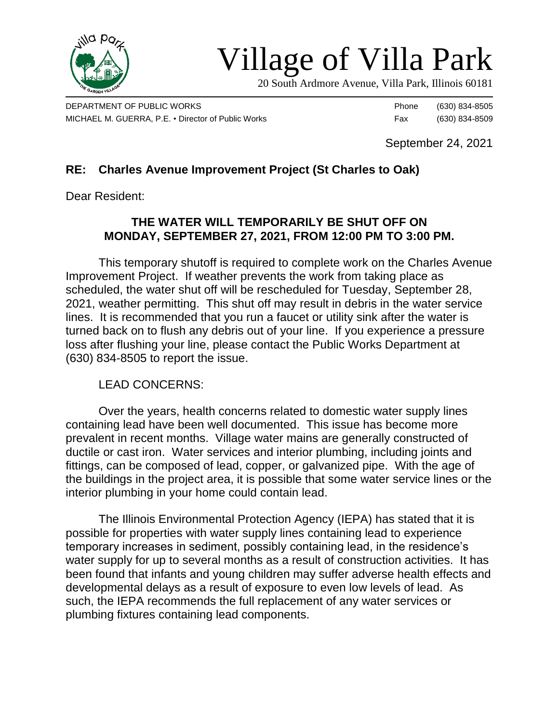

## Village of Villa Park

20 South Ardmore Avenue, Villa Park, Illinois 60181

DEPARTMENT OF PUBLIC WORKS **Phone** (630) 834-8505 MICHAEL M. GUERRA, P.E. • Director of Public Works Fax (630) 834-8509

September 24, 2021

## **RE: Charles Avenue Improvement Project (St Charles to Oak)**

Dear Resident:

## **THE WATER WILL TEMPORARILY BE SHUT OFF ON MONDAY, SEPTEMBER 27, 2021, FROM 12:00 PM TO 3:00 PM.**

This temporary shutoff is required to complete work on the Charles Avenue Improvement Project. If weather prevents the work from taking place as scheduled, the water shut off will be rescheduled for Tuesday, September 28, 2021, weather permitting. This shut off may result in debris in the water service lines. It is recommended that you run a faucet or utility sink after the water is turned back on to flush any debris out of your line. If you experience a pressure loss after flushing your line, please contact the Public Works Department at (630) 834-8505 to report the issue.

## LEAD CONCERNS:

Over the years, health concerns related to domestic water supply lines containing lead have been well documented. This issue has become more prevalent in recent months. Village water mains are generally constructed of ductile or cast iron. Water services and interior plumbing, including joints and fittings, can be composed of lead, copper, or galvanized pipe. With the age of the buildings in the project area, it is possible that some water service lines or the interior plumbing in your home could contain lead.

The Illinois Environmental Protection Agency (IEPA) has stated that it is possible for properties with water supply lines containing lead to experience temporary increases in sediment, possibly containing lead, in the residence's water supply for up to several months as a result of construction activities. It has been found that infants and young children may suffer adverse health effects and developmental delays as a result of exposure to even low levels of lead. As such, the IEPA recommends the full replacement of any water services or plumbing fixtures containing lead components.